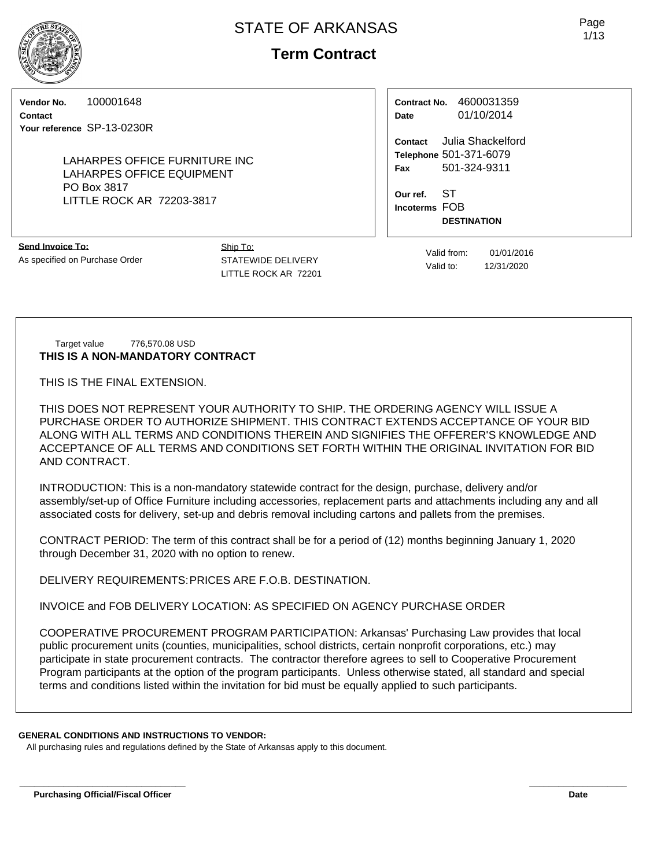# **Term Contract**

**Vendor No.** 100001648

**Contact Your reference** SP-13-0230R

> LAHARPES OFFICE FURNITURE INC LAHARPES OFFICE EQUIPMENT PO Box 3817 LITTLE ROCK AR 72203-3817

**Send Invoice To:** As specified on Purchase Order Ship To: STATEWIDE DELIVERY LITTLE ROCK AR 72201

**Contract No.** 4600031359 **Date** 01/10/2014

**Contact** Julia Shackelford **Telephone** 501-371-6079 **Fax** 501-324-9311

**Our ref.** ST **Incoterms** FOB **DESTINATION**

> Valid from: 01/01/2016 Valid to: 12/31/2020

Target value 776,570.08 USD **THIS IS A NON-MANDATORY CONTRACT**

THIS IS THE FINAL EXTENSION.

THIS DOES NOT REPRESENT YOUR AUTHORITY TO SHIP. THE ORDERING AGENCY WILL ISSUE A PURCHASE ORDER TO AUTHORIZE SHIPMENT. THIS CONTRACT EXTENDS ACCEPTANCE OF YOUR BID ALONG WITH ALL TERMS AND CONDITIONS THEREIN AND SIGNIFIES THE OFFERER'S KNOWLEDGE AND ACCEPTANCE OF ALL TERMS AND CONDITIONS SET FORTH WITHIN THE ORIGINAL INVITATION FOR BID AND CONTRACT.

INTRODUCTION: This is a non-mandatory statewide contract for the design, purchase, delivery and/or assembly/set-up of Office Furniture including accessories, replacement parts and attachments including any and all associated costs for delivery, set-up and debris removal including cartons and pallets from the premises.

CONTRACT PERIOD: The term of this contract shall be for a period of (12) months beginning January 1, 2020 through December 31, 2020 with no option to renew.

DELIVERY REQUIREMENTS:PRICES ARE F.O.B. DESTINATION.

INVOICE and FOB DELIVERY LOCATION: AS SPECIFIED ON AGENCY PURCHASE ORDER

COOPERATIVE PROCUREMENT PROGRAM PARTICIPATION: Arkansas' Purchasing Law provides that local public procurement units (counties, municipalities, school districts, certain nonprofit corporations, etc.) may participate in state procurement contracts. The contractor therefore agrees to sell to Cooperative Procurement Program participants at the option of the program participants. Unless otherwise stated, all standard and special terms and conditions listed within the invitation for bid must be equally applied to such participants.

**\_\_\_\_\_\_\_\_\_\_\_\_\_\_\_\_\_\_\_\_\_\_\_\_\_\_\_\_\_\_\_\_\_\_ \_\_\_\_\_\_\_\_\_\_\_\_\_\_\_\_\_\_\_\_**

### **GENERAL CONDITIONS AND INSTRUCTIONS TO VENDOR:**

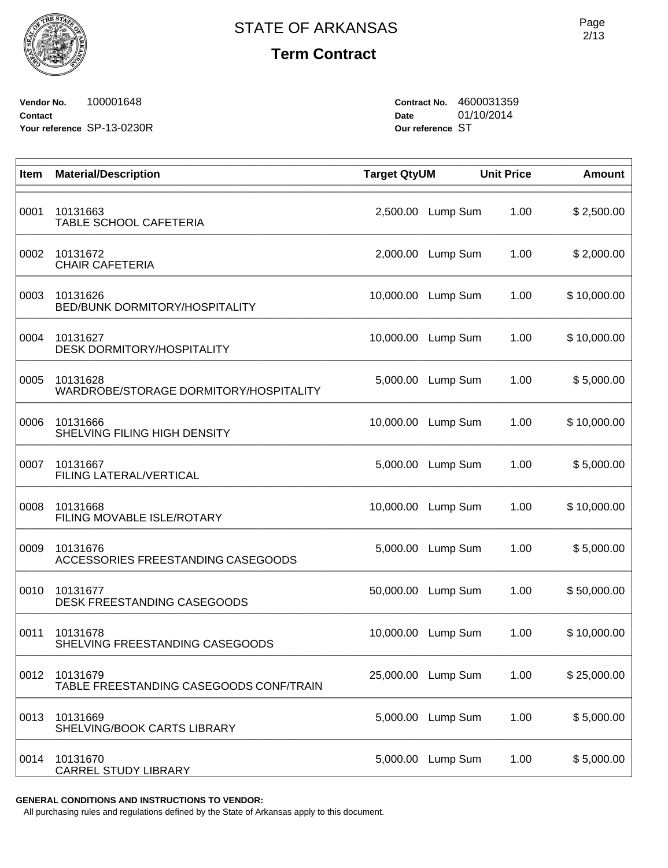**Vendor No.** 100001648 **Contact Your reference** SP-13-0230R **Contract No.** 4600031359 **Date** 01/10/2014 **Our reference** ST

| Item | <b>Material/Description</b>                         | <b>Target QtyUM</b> |          | <b>Unit Price</b> | <b>Amount</b> |
|------|-----------------------------------------------------|---------------------|----------|-------------------|---------------|
| 0001 | 10131663<br>TABLE SCHOOL CAFETERIA                  | 2,500.00            | Lump Sum | 1.00              | \$2,500.00    |
| 0002 | 10131672<br><b>CHAIR CAFETERIA</b>                  | 2,000.00            | Lump Sum | 1.00              | \$2,000.00    |
| 0003 | 10131626<br>BED/BUNK DORMITORY/HOSPITALITY          | 10,000.00           | Lump Sum | 1.00              | \$10,000.00   |
| 0004 | 10131627<br><b>DESK DORMITORY/HOSPITALITY</b>       | 10,000.00           | Lump Sum | 1.00              | \$10,000.00   |
| 0005 | 10131628<br>WARDROBE/STORAGE DORMITORY/HOSPITALITY  | 5,000.00            | Lump Sum | 1.00              | \$5,000.00    |
| 0006 | 10131666<br>SHELVING FILING HIGH DENSITY            | 10,000.00           | Lump Sum | 1.00              | \$10,000.00   |
| 0007 | 10131667<br>FILING LATERAL/VERTICAL                 | 5,000.00            | Lump Sum | 1.00              | \$5,000.00    |
| 0008 | 10131668<br>FILING MOVABLE ISLE/ROTARY              | 10,000.00           | Lump Sum | 1.00              | \$10,000.00   |
| 0009 | 10131676<br>ACCESSORIES FREESTANDING CASEGOODS      | 5,000.00            | Lump Sum | 1.00              | \$5,000.00    |
| 0010 | 10131677<br>DESK FREESTANDING CASEGOODS             | 50,000.00           | Lump Sum | 1.00              | \$50,000.00   |
| 0011 | 10131678<br>SHELVING FREESTANDING CASEGOODS         | 10,000.00           | Lump Sum | 1.00              | \$10,000.00   |
| 0012 | 10131679<br>TABLE FREESTANDING CASEGOODS CONF/TRAIN | 25,000.00           | Lump Sum | 1.00              | \$25,000.00   |
| 0013 | 10131669<br>SHELVING/BOOK CARTS LIBRARY             | 5,000.00            | Lump Sum | 1.00              | \$5,000.00    |
| 0014 | 10131670<br><b>CARREL STUDY LIBRARY</b>             | 5,000.00            | Lump Sum | 1.00              | \$5,000.00    |

**GENERAL CONDITIONS AND INSTRUCTIONS TO VENDOR:**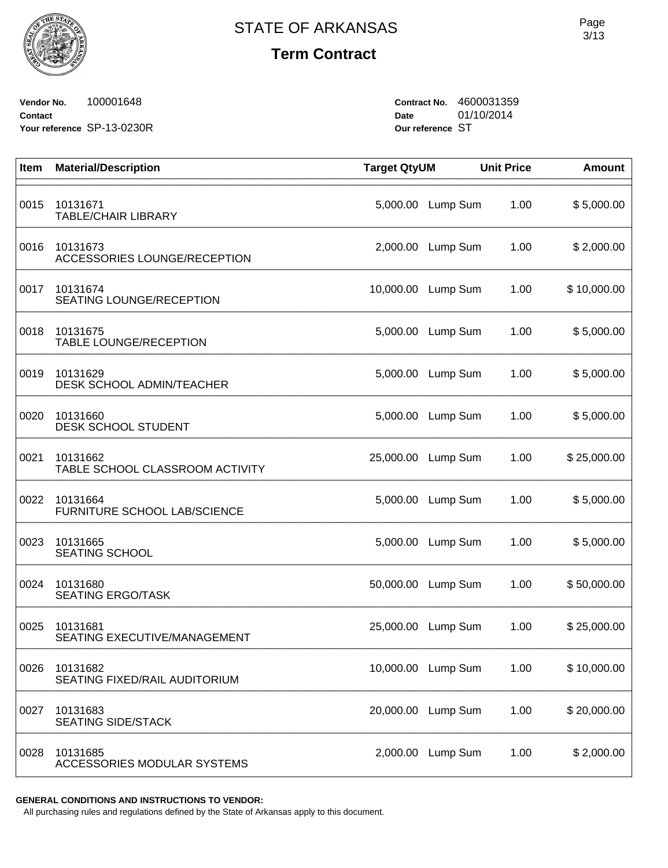

**Vendor No.** 100001648 **Contact Your reference** SP-13-0230R **Contract No.** 4600031359 **Date** 01/10/2014 **Our reference** ST

| Item | <b>Material/Description</b>                 | <b>Target QtyUM</b> |          | <b>Unit Price</b> | <b>Amount</b> |
|------|---------------------------------------------|---------------------|----------|-------------------|---------------|
| 0015 | 10131671<br><b>TABLE/CHAIR LIBRARY</b>      | 5,000.00            | Lump Sum | 1.00              | \$5,000.00    |
| 0016 | 10131673<br>ACCESSORIES LOUNGE/RECEPTION    | 2,000.00            | Lump Sum | 1.00              | \$2,000.00    |
| 0017 | 10131674<br>SEATING LOUNGE/RECEPTION        | 10,000.00           | Lump Sum | 1.00              | \$10,000.00   |
| 0018 | 10131675<br>TABLE LOUNGE/RECEPTION          | 5,000.00            | Lump Sum | 1.00              | \$5,000.00    |
| 0019 | 10131629<br>DESK SCHOOL ADMIN/TEACHER       | 5,000.00            | Lump Sum | 1.00              | \$5,000.00    |
| 0020 | 10131660<br><b>DESK SCHOOL STUDENT</b>      | 5,000.00            | Lump Sum | 1.00              | \$5,000.00    |
| 0021 | 10131662<br>TABLE SCHOOL CLASSROOM ACTIVITY | 25,000.00           | Lump Sum | 1.00              | \$25,000.00   |
| 0022 | 10131664<br>FURNITURE SCHOOL LAB/SCIENCE    | 5,000.00            | Lump Sum | 1.00              | \$5,000.00    |
| 0023 | 10131665<br><b>SEATING SCHOOL</b>           | 5,000.00            | Lump Sum | 1.00              | \$5,000.00    |
| 0024 | 10131680<br><b>SEATING ERGO/TASK</b>        | 50,000.00           | Lump Sum | 1.00              | \$50,000.00   |
| 0025 | 10131681<br>SEATING EXECUTIVE/MANAGEMENT    | 25,000.00           | Lump Sum | 1.00              | \$25,000.00   |
| 0026 | 10131682<br>SEATING FIXED/RAIL AUDITORIUM   | 10,000.00           | Lump Sum | 1.00              | \$10,000.00   |
| 0027 | 10131683<br><b>SEATING SIDE/STACK</b>       | 20,000.00           | Lump Sum | 1.00              | \$20,000.00   |
| 0028 | 10131685<br>ACCESSORIES MODULAR SYSTEMS     | 2,000.00            | Lump Sum | 1.00              | \$2,000.00    |

**GENERAL CONDITIONS AND INSTRUCTIONS TO VENDOR:**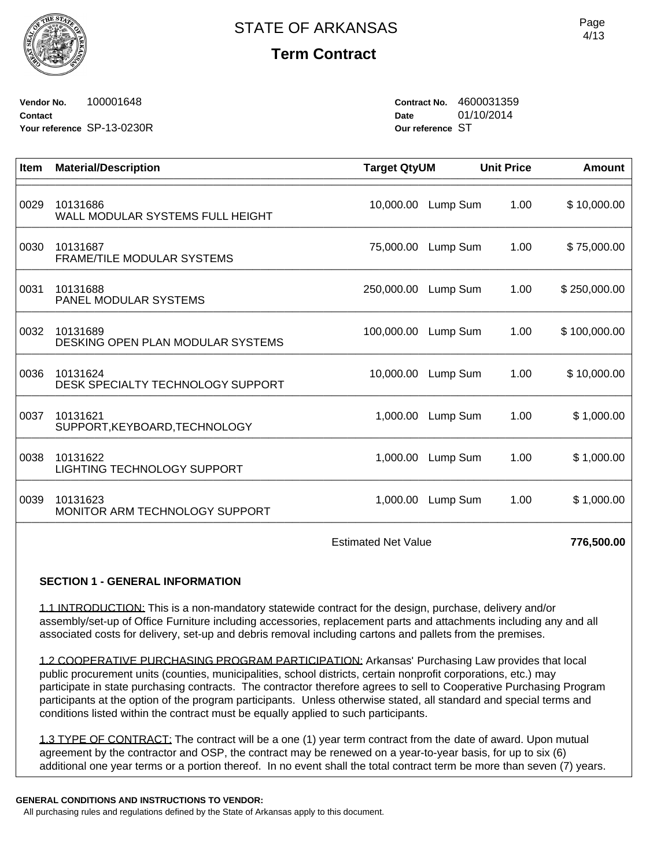

**Vendor No.** 100001648 **Contact Your reference** SP-13-0230R **Contract No.** 4600031359 **Date** 01/10/2014 **Our reference** ST

| <b>Material/Description</b>                   |            |                                             | <b>Amount</b>                                                                                                     |
|-----------------------------------------------|------------|---------------------------------------------|-------------------------------------------------------------------------------------------------------------------|
| 10131686<br>WALL MODULAR SYSTEMS FULL HEIGHT  | 10,000.00  | 1.00                                        | \$10,000.00                                                                                                       |
| 10131687<br><b>FRAME/TILE MODULAR SYSTEMS</b> | 75,000.00  | 1.00                                        | \$75,000.00                                                                                                       |
| 10131688<br><b>PANEL MODULAR SYSTEMS</b>      | 250,000.00 | 1.00                                        | \$250,000.00                                                                                                      |
| 10131689<br>DESKING OPEN PLAN MODULAR SYSTEMS | 100,000.00 | 1.00                                        | \$100,000.00                                                                                                      |
| 10131624<br>DESK SPECIALTY TECHNOLOGY SUPPORT | 10,000.00  | 1.00                                        | \$10,000.00                                                                                                       |
| 10131621<br>SUPPORT, KEYBOARD, TECHNOLOGY     |            | 1.00                                        | \$1,000.00                                                                                                        |
| 10131622<br>LIGHTING TECHNOLOGY SUPPORT       | 1,000.00   | 1.00                                        | \$1,000.00                                                                                                        |
| 10131623<br>MONITOR ARM TECHNOLOGY SUPPORT    |            | 1.00                                        | \$1,000.00                                                                                                        |
|                                               |            | <b>Target QtyUM</b><br>1,000.00<br>1,000.00 | <b>Unit Price</b><br>Lump Sum<br>Lump Sum<br>Lump Sum<br>Lump Sum<br>Lump Sum<br>Lump Sum<br>Lump Sum<br>Lump Sum |

Estimated Net Value **776,500.00** 

### **SECTION 1 - GENERAL INFORMATION**

1.1 INTRODUCTION: This is a non-mandatory statewide contract for the design, purchase, delivery and/or assembly/set-up of Office Furniture including accessories, replacement parts and attachments including any and all associated costs for delivery, set-up and debris removal including cartons and pallets from the premises.

1.2 COOPERATIVE PURCHASING PROGRAM PARTICIPATION: Arkansas' Purchasing Law provides that local public procurement units (counties, municipalities, school districts, certain nonprofit corporations, etc.) may participate in state purchasing contracts. The contractor therefore agrees to sell to Cooperative Purchasing Program participants at the option of the program participants. Unless otherwise stated, all standard and special terms and conditions listed within the contract must be equally applied to such participants.

1.3 TYPE OF CONTRACT: The contract will be a one (1) year term contract from the date of award. Upon mutual agreement by the contractor and OSP, the contract may be renewed on a year-to-year basis, for up to six (6) additional one year terms or a portion thereof. In no event shall the total contract term be more than seven (7) years.

#### **GENERAL CONDITIONS AND INSTRUCTIONS TO VENDOR:**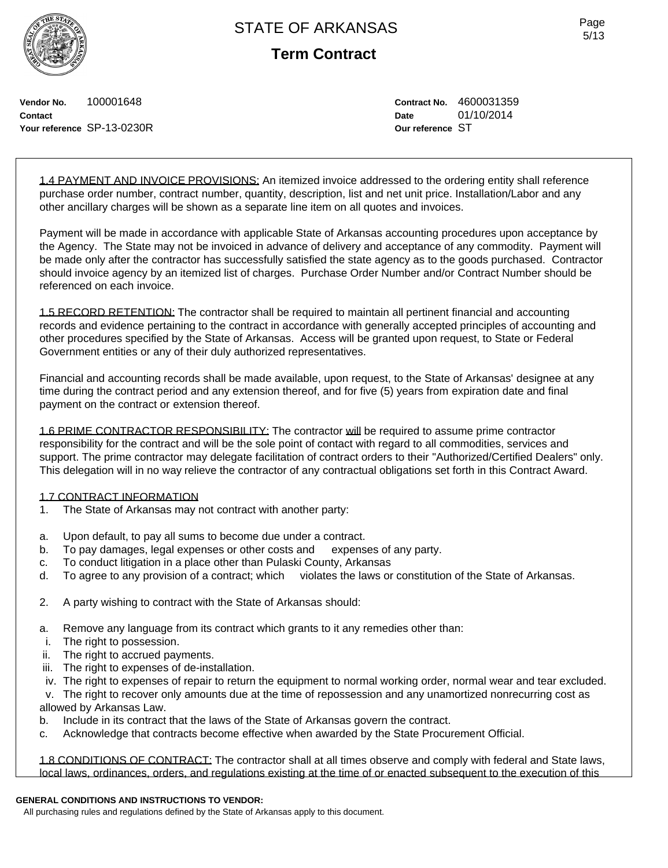**Term Contract**

**Vendor No.** 100001648 **Contact Your reference** SP-13-0230R **Contract No.** 4600031359 **Date** 01/10/2014 **Our reference** ST

1.4 PAYMENT AND INVOICE PROVISIONS: An itemized invoice addressed to the ordering entity shall reference purchase order number, contract number, quantity, description, list and net unit price. Installation/Labor and any other ancillary charges will be shown as a separate line item on all quotes and invoices.

Payment will be made in accordance with applicable State of Arkansas accounting procedures upon acceptance by the Agency. The State may not be invoiced in advance of delivery and acceptance of any commodity. Payment will be made only after the contractor has successfully satisfied the state agency as to the goods purchased. Contractor should invoice agency by an itemized list of charges. Purchase Order Number and/or Contract Number should be referenced on each invoice.

1.5 RECORD RETENTION: The contractor shall be required to maintain all pertinent financial and accounting records and evidence pertaining to the contract in accordance with generally accepted principles of accounting and other procedures specified by the State of Arkansas. Access will be granted upon request, to State or Federal Government entities or any of their duly authorized representatives.

Financial and accounting records shall be made available, upon request, to the State of Arkansas' designee at any time during the contract period and any extension thereof, and for five (5) years from expiration date and final payment on the contract or extension thereof.

1.6 PRIME CONTRACTOR RESPONSIBILITY: The contractor will be required to assume prime contractor responsibility for the contract and will be the sole point of contact with regard to all commodities, services and support. The prime contractor may delegate facilitation of contract orders to their "Authorized/Certified Dealers" only. This delegation will in no way relieve the contractor of any contractual obligations set forth in this Contract Award.

#### 1.7 CONTRACT INFORMATION

- 1. The State of Arkansas may not contract with another party:
- a. Upon default, to pay all sums to become due under a contract.
- b. To pay damages, legal expenses or other costs and expenses of any party.
- c. To conduct litigation in a place other than Pulaski County, Arkansas
- d. To agree to any provision of a contract; which violates the laws or constitution of the State of Arkansas.
- 2. A party wishing to contract with the State of Arkansas should:
- a. Remove any language from its contract which grants to it any remedies other than:
- i. The right to possession.
- ii. The right to accrued payments.
- iii. The right to expenses of de-installation.
- iv. The right to expenses of repair to return the equipment to normal working order, normal wear and tear excluded.

 v. The right to recover only amounts due at the time of repossession and any unamortized nonrecurring cost as allowed by Arkansas Law.

- b. Include in its contract that the laws of the State of Arkansas govern the contract.
- c. Acknowledge that contracts become effective when awarded by the State Procurement Official.

1.8 CONDITIONS OF CONTRACT: The contractor shall at all times observe and comply with federal and State laws, local laws, ordinances, orders, and regulations existing at the time of or enacted subsequent to the execution of this

#### **GENERAL CONDITIONS AND INSTRUCTIONS TO VENDOR:**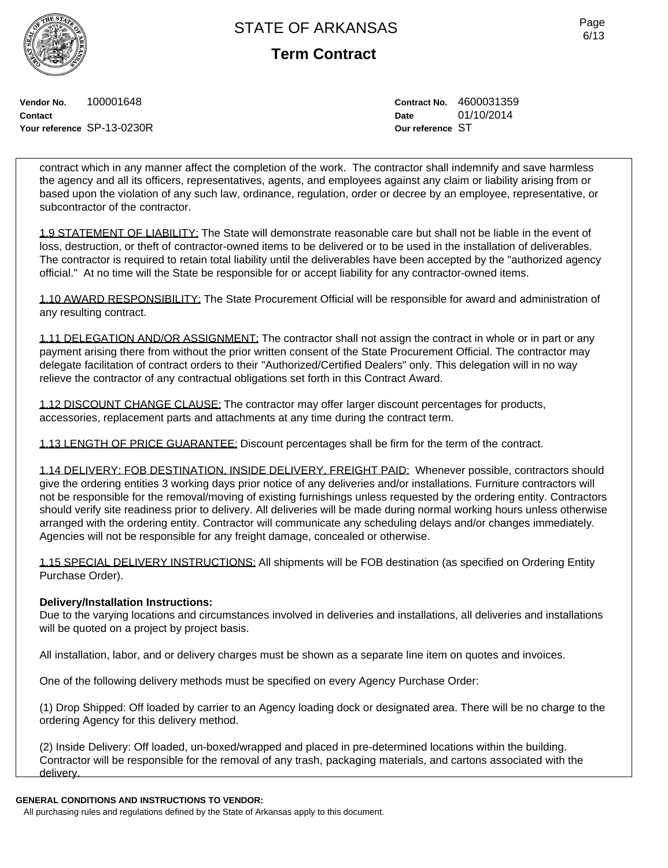**Term Contract**

**Vendor No.** 100001648 **Contact Your reference** SP-13-0230R **Contract No.** 4600031359 **Date** 01/10/2014 **Our reference** ST

contract which in any manner affect the completion of the work. The contractor shall indemnify and save harmless the agency and all its officers, representatives, agents, and employees against any claim or liability arising from or based upon the violation of any such law, ordinance, regulation, order or decree by an employee, representative, or subcontractor of the contractor.

1.9 STATEMENT OF LIABILITY: The State will demonstrate reasonable care but shall not be liable in the event of loss, destruction, or theft of contractor-owned items to be delivered or to be used in the installation of deliverables. The contractor is required to retain total liability until the deliverables have been accepted by the "authorized agency official." At no time will the State be responsible for or accept liability for any contractor-owned items.

1.10 AWARD RESPONSIBILITY: The State Procurement Official will be responsible for award and administration of any resulting contract.

1.11 DELEGATION AND/OR ASSIGNMENT: The contractor shall not assign the contract in whole or in part or any payment arising there from without the prior written consent of the State Procurement Official. The contractor may delegate facilitation of contract orders to their "Authorized/Certified Dealers" only. This delegation will in no way relieve the contractor of any contractual obligations set forth in this Contract Award.

1.12 DISCOUNT CHANGE CLAUSE: The contractor may offer larger discount percentages for products, accessories, replacement parts and attachments at any time during the contract term.

1.13 LENGTH OF PRICE GUARANTEE: Discount percentages shall be firm for the term of the contract.

1.14 DELIVERY: FOB DESTINATION, INSIDE DELIVERY, FREIGHT PAID: Whenever possible, contractors should give the ordering entities 3 working days prior notice of any deliveries and/or installations. Furniture contractors will not be responsible for the removal/moving of existing furnishings unless requested by the ordering entity. Contractors should verify site readiness prior to delivery. All deliveries will be made during normal working hours unless otherwise arranged with the ordering entity. Contractor will communicate any scheduling delays and/or changes immediately. Agencies will not be responsible for any freight damage, concealed or otherwise.

1.15 SPECIAL DELIVERY INSTRUCTIONS: All shipments will be FOB destination (as specified on Ordering Entity Purchase Order).

### **Delivery/Installation Instructions:**

Due to the varying locations and circumstances involved in deliveries and installations, all deliveries and installations will be quoted on a project by project basis.

All installation, labor, and or delivery charges must be shown as a separate line item on quotes and invoices.

One of the following delivery methods must be specified on every Agency Purchase Order:

(1) Drop Shipped: Off loaded by carrier to an Agency loading dock or designated area. There will be no charge to the ordering Agency for this delivery method.

(2) Inside Delivery: Off loaded, un-boxed/wrapped and placed in pre-determined locations within the building. Contractor will be responsible for the removal of any trash, packaging materials, and cartons associated with the delivery.

### **GENERAL CONDITIONS AND INSTRUCTIONS TO VENDOR:**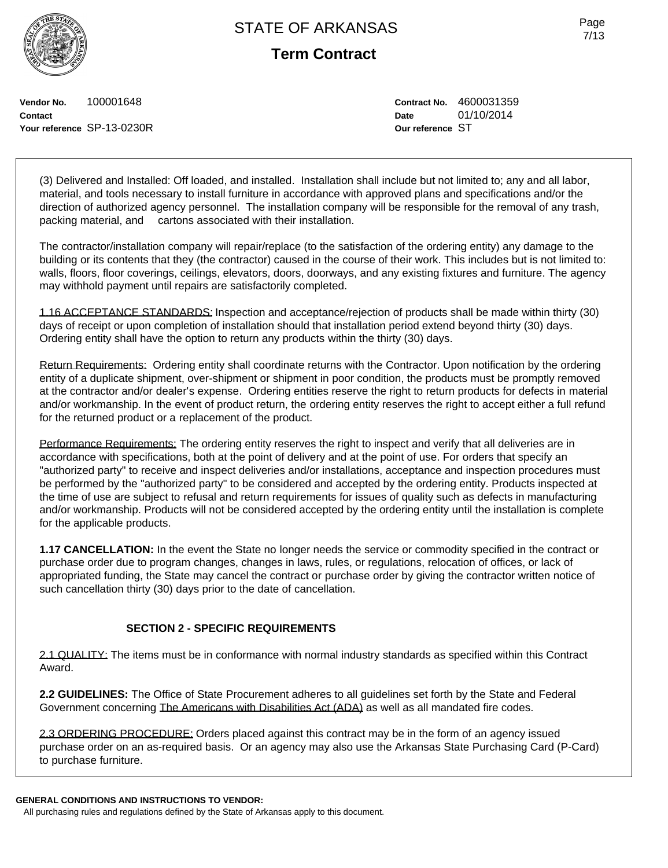**Term Contract**

Page 7/13

**Vendor No.** 100001648 **Contact Your reference** SP-13-0230R **Contract No.** 4600031359 **Date** 01/10/2014 **Our reference** ST

(3) Delivered and Installed: Off loaded, and installed. Installation shall include but not limited to; any and all labor, material, and tools necessary to install furniture in accordance with approved plans and specifications and/or the direction of authorized agency personnel. The installation company will be responsible for the removal of any trash, packing material, and cartons associated with their installation.

The contractor/installation company will repair/replace (to the satisfaction of the ordering entity) any damage to the building or its contents that they (the contractor) caused in the course of their work. This includes but is not limited to: walls, floors, floor coverings, ceilings, elevators, doors, doorways, and any existing fixtures and furniture. The agency may withhold payment until repairs are satisfactorily completed.

1.16 ACCEPTANCE STANDARDS: Inspection and acceptance/rejection of products shall be made within thirty (30) days of receipt or upon completion of installation should that installation period extend beyond thirty (30) days. Ordering entity shall have the option to return any products within the thirty (30) days.

Return Requirements: Ordering entity shall coordinate returns with the Contractor. Upon notification by the ordering entity of a duplicate shipment, over-shipment or shipment in poor condition, the products must be promptly removed at the contractor and/or dealer's expense. Ordering entities reserve the right to return products for defects in material and/or workmanship. In the event of product return, the ordering entity reserves the right to accept either a full refund for the returned product or a replacement of the product.

Performance Requirements: The ordering entity reserves the right to inspect and verify that all deliveries are in accordance with specifications, both at the point of delivery and at the point of use. For orders that specify an "authorized party" to receive and inspect deliveries and/or installations, acceptance and inspection procedures must be performed by the "authorized party" to be considered and accepted by the ordering entity. Products inspected at the time of use are subject to refusal and return requirements for issues of quality such as defects in manufacturing and/or workmanship. Products will not be considered accepted by the ordering entity until the installation is complete for the applicable products.

**1.17 CANCELLATION:** In the event the State no longer needs the service or commodity specified in the contract or purchase order due to program changes, changes in laws, rules, or regulations, relocation of offices, or lack of appropriated funding, the State may cancel the contract or purchase order by giving the contractor written notice of such cancellation thirty (30) days prior to the date of cancellation.

### **SECTION 2 - SPECIFIC REQUIREMENTS**

2.1 QUALITY: The items must be in conformance with normal industry standards as specified within this Contract Award.

**2.2 GUIDELINES:** The Office of State Procurement adheres to all guidelines set forth by the State and Federal Government concerning The Americans with Disabilities Act (ADA) as well as all mandated fire codes.

2.3 ORDERING PROCEDURE: Orders placed against this contract may be in the form of an agency issued purchase order on an as-required basis. Or an agency may also use the Arkansas State Purchasing Card (P-Card) to purchase furniture.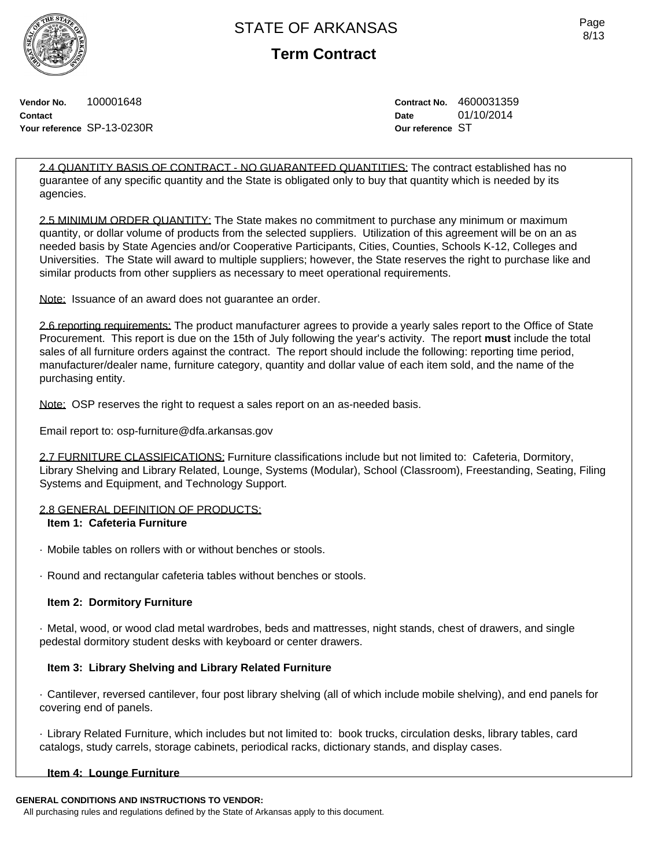

**Term Contract**

Page 8/13

**Vendor No.** 100001648 **Contact Your reference** SP-13-0230R **Contract No.** 4600031359 **Date** 01/10/2014 **Our reference** ST

2.4 QUANTITY BASIS OF CONTRACT - NO GUARANTEED QUANTITIES: The contract established has no guarantee of any specific quantity and the State is obligated only to buy that quantity which is needed by its agencies.

2.5 MINIMUM ORDER QUANTITY: The State makes no commitment to purchase any minimum or maximum quantity, or dollar volume of products from the selected suppliers. Utilization of this agreement will be on an as needed basis by State Agencies and/or Cooperative Participants, Cities, Counties, Schools K-12, Colleges and Universities. The State will award to multiple suppliers; however, the State reserves the right to purchase like and similar products from other suppliers as necessary to meet operational requirements.

Note: Issuance of an award does not guarantee an order.

2.6 reporting requirements: The product manufacturer agrees to provide a yearly sales report to the Office of State Procurement. This report is due on the 15th of July following the year's activity. The report **must** include the total sales of all furniture orders against the contract. The report should include the following: reporting time period, manufacturer/dealer name, furniture category, quantity and dollar value of each item sold, and the name of the purchasing entity.

Note: OSP reserves the right to request a sales report on an as-needed basis.

Email report to: osp-furniture@dfa.arkansas.gov

2.7 FURNITURE CLASSIFICATIONS: Furniture classifications include but not limited to: Cafeteria, Dormitory, Library Shelving and Library Related, Lounge, Systems (Modular), School (Classroom), Freestanding, Seating, Filing Systems and Equipment, and Technology Support.

### 2.8 GENERAL DEFINITION OF PRODUCTS:

### **Item 1: Cafeteria Furniture**

- · Mobile tables on rollers with or without benches or stools.
- · Round and rectangular cafeteria tables without benches or stools.

### **Item 2: Dormitory Furniture**

· Metal, wood, or wood clad metal wardrobes, beds and mattresses, night stands, chest of drawers, and single pedestal dormitory student desks with keyboard or center drawers.

### **Item 3: Library Shelving and Library Related Furniture**

· Cantilever, reversed cantilever, four post library shelving (all of which include mobile shelving), and end panels for covering end of panels.

· Library Related Furniture, which includes but not limited to: book trucks, circulation desks, library tables, card catalogs, study carrels, storage cabinets, periodical racks, dictionary stands, and display cases.

### **Item 4: Lounge Furniture**

#### **GENERAL CONDITIONS AND INSTRUCTIONS TO VENDOR:**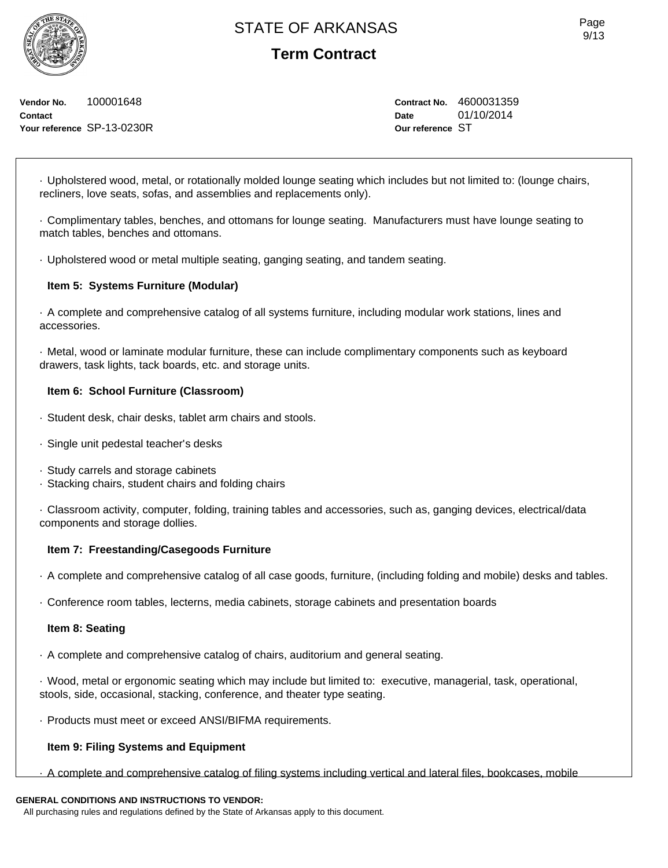**Term Contract**

**Vendor No.** 100001648 **Contact Your reference** SP-13-0230R **Contract No.** 4600031359 **Date** 01/10/2014 **Our reference** ST

· Upholstered wood, metal, or rotationally molded lounge seating which includes but not limited to: (lounge chairs, recliners, love seats, sofas, and assemblies and replacements only).

· Complimentary tables, benches, and ottomans for lounge seating. Manufacturers must have lounge seating to match tables, benches and ottomans.

· Upholstered wood or metal multiple seating, ganging seating, and tandem seating.

### **Item 5: Systems Furniture (Modular)**

· A complete and comprehensive catalog of all systems furniture, including modular work stations, lines and accessories.

· Metal, wood or laminate modular furniture, these can include complimentary components such as keyboard drawers, task lights, tack boards, etc. and storage units.

### **Item 6: School Furniture (Classroom)**

- · Student desk, chair desks, tablet arm chairs and stools.
- · Single unit pedestal teacher's desks
- · Study carrels and storage cabinets
- · Stacking chairs, student chairs and folding chairs

· Classroom activity, computer, folding, training tables and accessories, such as, ganging devices, electrical/data components and storage dollies.

### **Item 7: Freestanding/Casegoods Furniture**

· A complete and comprehensive catalog of all case goods, furniture, (including folding and mobile) desks and tables.

· Conference room tables, lecterns, media cabinets, storage cabinets and presentation boards

#### **Item 8: Seating**

· A complete and comprehensive catalog of chairs, auditorium and general seating.

· Wood, metal or ergonomic seating which may include but limited to: executive, managerial, task, operational, stools, side, occasional, stacking, conference, and theater type seating.

· Products must meet or exceed ANSI/BIFMA requirements.

### **Item 9: Filing Systems and Equipment**

· A complete and comprehensive catalog of filing systems including vertical and lateral files, bookcases, mobile

### **GENERAL CONDITIONS AND INSTRUCTIONS TO VENDOR:**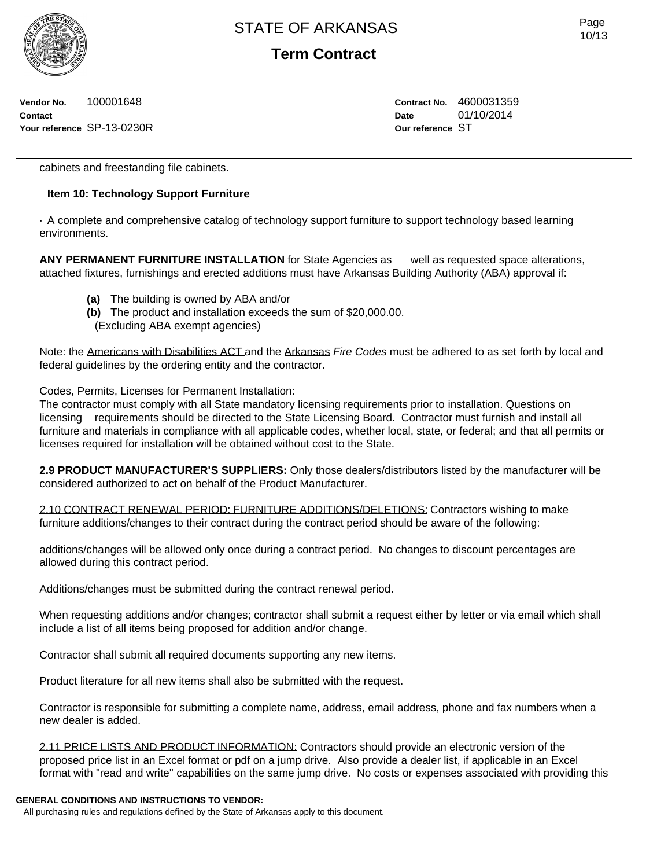**Term Contract**

**Vendor No.** 100001648 **Contact Your reference** SP-13-0230R **Contract No.** 4600031359 **Date** 01/10/2014 **Our reference** ST

cabinets and freestanding file cabinets.

### **Item 10: Technology Support Furniture**

· A complete and comprehensive catalog of technology support furniture to support technology based learning environments.

**ANY PERMANENT FURNITURE INSTALLATION** for State Agencies as well as requested space alterations, attached fixtures, furnishings and erected additions must have Arkansas Building Authority (ABA) approval if:

- **(a)** The building is owned by ABA and/or
- **(b)** The product and installation exceeds the sum of \$20,000.00.
- (Excluding ABA exempt agencies)

Note: the Americans with Disabilities ACT and the Arkansas *Fire Codes* must be adhered to as set forth by local and federal guidelines by the ordering entity and the contractor.

Codes, Permits, Licenses for Permanent Installation:

The contractor must comply with all State mandatory licensing requirements prior to installation. Questions on licensing requirements should be directed to the State Licensing Board. Contractor must furnish and install all furniture and materials in compliance with all applicable codes, whether local, state, or federal; and that all permits or licenses required for installation will be obtained without cost to the State.

**2.9 PRODUCT MANUFACTURER'S SUPPLIERS:** Only those dealers/distributors listed by the manufacturer will be considered authorized to act on behalf of the Product Manufacturer.

2.10 CONTRACT RENEWAL PERIOD: FURNITURE ADDITIONS/DELETIONS: Contractors wishing to make furniture additions/changes to their contract during the contract period should be aware of the following:

additions/changes will be allowed only once during a contract period. No changes to discount percentages are allowed during this contract period.

Additions/changes must be submitted during the contract renewal period.

When requesting additions and/or changes; contractor shall submit a request either by letter or via email which shall include a list of all items being proposed for addition and/or change.

Contractor shall submit all required documents supporting any new items.

Product literature for all new items shall also be submitted with the request.

Contractor is responsible for submitting a complete name, address, email address, phone and fax numbers when a new dealer is added.

2.11 PRICE LISTS AND PRODUCT INFORMATION: Contractors should provide an electronic version of the proposed price list in an Excel format or pdf on a jump drive. Also provide a dealer list, if applicable in an Excel format with "read and write" capabilities on the same jump drive. No costs or expenses associated with providing this

#### **GENERAL CONDITIONS AND INSTRUCTIONS TO VENDOR:**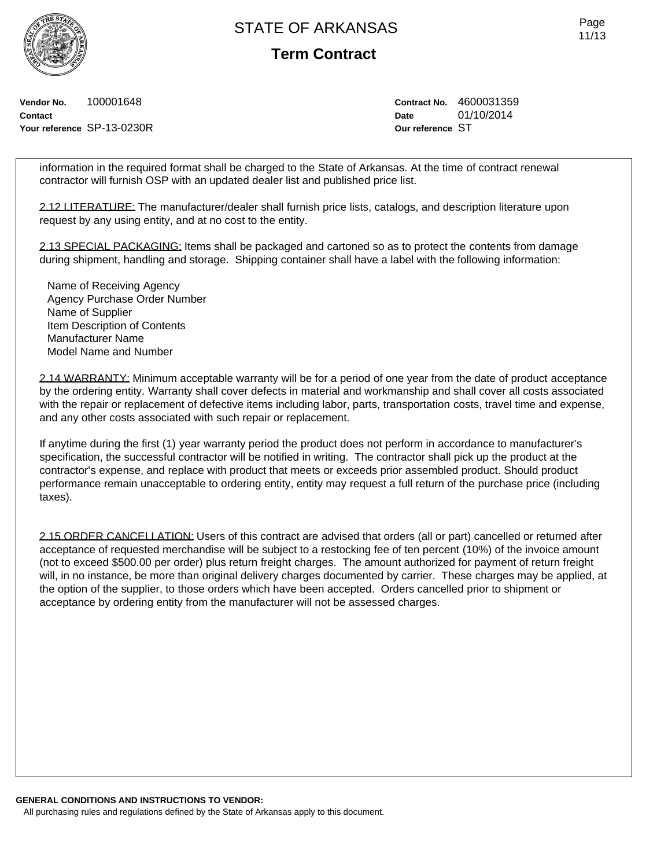**Term Contract**

**Vendor No.** 100001648 **Contact Your reference** SP-13-0230R **Contract No.** 4600031359 **Date** 01/10/2014 **Our reference** ST

information in the required format shall be charged to the State of Arkansas. At the time of contract renewal contractor will furnish OSP with an updated dealer list and published price list.

2.12 LITERATURE: The manufacturer/dealer shall furnish price lists, catalogs, and description literature upon request by any using entity, and at no cost to the entity.

2.13 SPECIAL PACKAGING: Items shall be packaged and cartoned so as to protect the contents from damage during shipment, handling and storage. Shipping container shall have a label with the following information:

Name of Receiving Agency Agency Purchase Order Number Name of Supplier Item Description of Contents Manufacturer Name Model Name and Number

2.14 WARRANTY: Minimum acceptable warranty will be for a period of one year from the date of product acceptance by the ordering entity. Warranty shall cover defects in material and workmanship and shall cover all costs associated with the repair or replacement of defective items including labor, parts, transportation costs, travel time and expense, and any other costs associated with such repair or replacement.

If anytime during the first (1) year warranty period the product does not perform in accordance to manufacturer's specification, the successful contractor will be notified in writing. The contractor shall pick up the product at the contractor's expense, and replace with product that meets or exceeds prior assembled product. Should product performance remain unacceptable to ordering entity, entity may request a full return of the purchase price (including taxes).

2.15 ORDER CANCELLATION: Users of this contract are advised that orders (all or part) cancelled or returned after acceptance of requested merchandise will be subject to a restocking fee of ten percent (10%) of the invoice amount (not to exceed \$500.00 per order) plus return freight charges. The amount authorized for payment of return freight will, in no instance, be more than original delivery charges documented by carrier. These charges may be applied, at the option of the supplier, to those orders which have been accepted. Orders cancelled prior to shipment or acceptance by ordering entity from the manufacturer will not be assessed charges.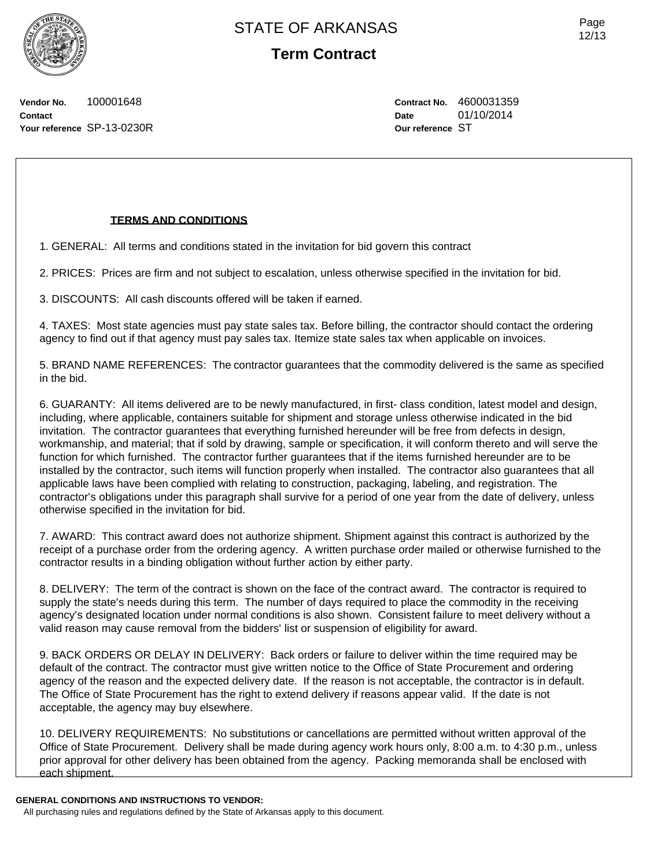Page 12/13

**Vendor No.** 100001648 **Contact Your reference** SP-13-0230R **Contract No.** 4600031359 **Date** 01/10/2014 **Our reference** ST

### **TERMS AND CONDITIONS**

1. GENERAL: All terms and conditions stated in the invitation for bid govern this contract

2. PRICES: Prices are firm and not subject to escalation, unless otherwise specified in the invitation for bid.

3. DISCOUNTS: All cash discounts offered will be taken if earned.

4. TAXES: Most state agencies must pay state sales tax. Before billing, the contractor should contact the ordering agency to find out if that agency must pay sales tax. Itemize state sales tax when applicable on invoices.

5. BRAND NAME REFERENCES: The contractor guarantees that the commodity delivered is the same as specified in the bid.

6. GUARANTY: All items delivered are to be newly manufactured, in first- class condition, latest model and design, including, where applicable, containers suitable for shipment and storage unless otherwise indicated in the bid invitation. The contractor guarantees that everything furnished hereunder will be free from defects in design, workmanship, and material; that if sold by drawing, sample or specification, it will conform thereto and will serve the function for which furnished. The contractor further guarantees that if the items furnished hereunder are to be installed by the contractor, such items will function properly when installed. The contractor also guarantees that all applicable laws have been complied with relating to construction, packaging, labeling, and registration. The contractor's obligations under this paragraph shall survive for a period of one year from the date of delivery, unless otherwise specified in the invitation for bid.

7. AWARD: This contract award does not authorize shipment. Shipment against this contract is authorized by the receipt of a purchase order from the ordering agency. A written purchase order mailed or otherwise furnished to the contractor results in a binding obligation without further action by either party.

8. DELIVERY: The term of the contract is shown on the face of the contract award. The contractor is required to supply the state's needs during this term. The number of days required to place the commodity in the receiving agency's designated location under normal conditions is also shown. Consistent failure to meet delivery without a valid reason may cause removal from the bidders' list or suspension of eligibility for award.

9. BACK ORDERS OR DELAY IN DELIVERY: Back orders or failure to deliver within the time required may be default of the contract. The contractor must give written notice to the Office of State Procurement and ordering agency of the reason and the expected delivery date. If the reason is not acceptable, the contractor is in default. The Office of State Procurement has the right to extend delivery if reasons appear valid. If the date is not acceptable, the agency may buy elsewhere.

10. DELIVERY REQUIREMENTS: No substitutions or cancellations are permitted without written approval of the Office of State Procurement. Delivery shall be made during agency work hours only, 8:00 a.m. to 4:30 p.m., unless prior approval for other delivery has been obtained from the agency. Packing memoranda shall be enclosed with each shipment.

**GENERAL CONDITIONS AND INSTRUCTIONS TO VENDOR:**